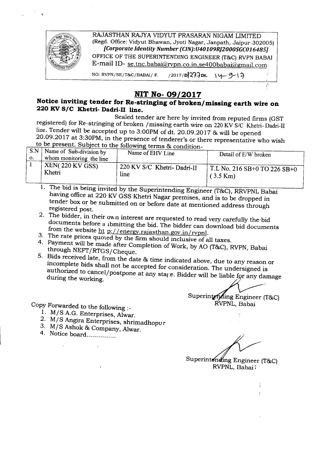

## **NIT No-09/2017**

## **Notice inviting tender for Re-stringing of broken/ missing earth wire on 220 KV***SIC* **Khetri- Dadri-II line.**

Sealed tender are here by invited from reputed firms (GST registered) for Re-stringing of broken /missing earth wire on 220 KV *SIC* Khetri-Dadri-II line. Tender will be accepted up to 3:00PM of dt. 20.09.2017 & will be opened 20.09.2017 at 3:30PM, in the presence of tenderer's or there representative who wish to be present. Subject to the following terms  $\&$  condition-

| S.N | Name of Sub-division by  |                              | Detail of E/W broken                 |
|-----|--------------------------|------------------------------|--------------------------------------|
| О.  | whom monitoring the line | Name of EHV Line             |                                      |
|     | XEN(220 KV GSS)          | 1 220 KV S/C Khetri-Dadri-II | $\vert$ T.L No. 216 SB+0 TO 226 SB+0 |
|     | Khetri                   | line                         | $(3.5 \text{ Km})$                   |

1. The bid is being invited by the Superintending Engineer (T&C), RRVPNL Babai having office at 220 KV GSS Khetri Nagar premises, and is to be dropped in tender box or be submitted on or before date at mentioned address through registered post.

2. The bidder, in their own interest are requested to read very carefully the bid documents before submitting the bid. The bidder can download bid documents from the website ht p://energy.rajasthan.gov.in/rvpnl.

- 3. The rate prices quoted by the firm should inclusive of all taxes.
- 4. Payment will be made after Completion of Work, by AO (T&C), RVPN, Babai through NEFT/RTGS/Cheque.
- 5. Bids received late, from the date & time indicated above, due to any reason or incomplete bids shall not be accepted for consideration. The undersigned is authorized to cancel/postpone at any stage. Bidder will be liable for any damage during the working.  $\frac{1}{2}$  and  $\frac{1}{2}$  and  $\frac{1}{2}$  and  $\frac{1}{2}$  and  $\frac{1}{2}$  and  $\frac{1}{2}$  and  $\frac{1}{2}$  and  $\frac{1}{2}$  and  $\frac{1}{2}$  and  $\frac{1}{2}$  and  $\frac{1}{2}$  and  $\frac{1}{2}$  and  $\frac{1}{2}$  and  $\frac{1}{2}$  and  $\frac{1$

Superinter ding Engineer (T&C) RVPNL, Babai

Copy Forwarded to the following :\_

- 1. M/S A.G. Enterprises, Alwar.
- 2. M/S Angira Enterprises, shrimadhopur
- 3. M/S Ashok & Company, Alwar.
- 4. Notice board...............

Superintending Engineer (T&C) RVPNL, Babai i

i